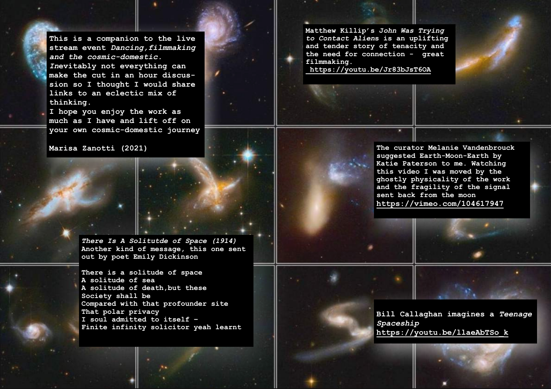**This is a companion to the live stream event** *Dancing,filmmaking and the cosmic-domestic. In***evitably not everything can make the cut in an hour discussion so I thought I would share links to an eclectic mix of thinking.** 

**I hope you enjoy the work as much as I have and lift off on your own cosmic-domestic journey**

*There Is A Solitutde of Space (1914)* **[Another kind of message, this one sent](http://www.apple.com/uk)  out by poet Emily Dickinson**

**There is a solitude of space A solitude of sea A solitude of death,but these Society shall be Compared with that profounder site That polar privacy I soul admitted to itself – Finite infinity solicitor yeah learnt** **Matthew Killip's J***ohn Was Trying to Contact Alien***s is an uplifting and tender story of tenacity and the need for connection - great filmmaking.**

**<https://youtu.be/Jr83bJsT6OA>**

**Marisa Zanotti (2021) The curator Melanie Vandenbrouck suggested Earth-Moon-Earth by Katie Paterson to me. Watching this video I was moved by the ghostly physicality of the work and the fragility of the signal sent back from the moon <https://vimeo.com/104617947>**

> **Bill Callaghan imagines a** *Teenage Spaceship* **[https://youtu.be/llaeAbTSo\\_k](https://youtu.be/llaeAbTSo_k)**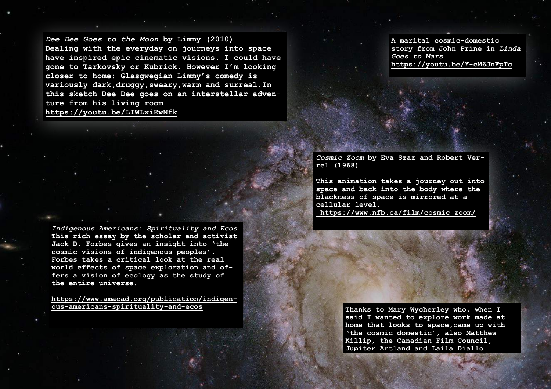*Dee Dee Goes to the Moon* **by Limmy (2010) Dealing with the everyday on journeys into space have inspired epic cinematic visions. I could have gone to Tarkovsky or Kubrick. However I'm looking closer to home: Glasgwegian Limmy's comedy is variously dark,druggy,sweary,warm and surreal.In this sketch Dee Dee goes on an interstellar adventure from his living room <https://youtu.be/LIWLxiEwNfk>**

**A marital cosmic-domestic story from John Prine in** *Linda Goes to Mars* **<https://youtu.be/Y-cM6JnFpTc>**

*Cosmic Zoom* **by Eva Szaz and Robert Verrel (1968)**

**This animation takes a journey out into space and back into the body where the blackness of space is mirrored at a cellular level.  [https://www.nfb.ca/film/cosmic\\_zoom/](https://www.nfb.ca/film/cosmic_zoom/)**

*Indigenous Americans: Spirituality and Ecos* **This rich essay by the scholar and activist Jack D. Forbes gives an insight into 'the cosmic visions of indigenous peoples'. Forbes takes a critical look at the real world effects of space exploration and offers a vision of ecology as the study of the entire universe.** 

**[https://www.amacad.org/publication/indigen](https://www.amacad.org/publication/indigenous-americans-spirituality-and-ecos)[ous-americans-spirituality-and-ecos](https://www.amacad.org/publication/indigenous-americans-spirituality-and-ecos)**

**Thanks to Mary Wycherley who, when I said I wanted to explore work made at home that looks to space,came up with 'the cosmic domestic', also Matthew Killip, the Canadian Film Council, Jupiter Artland and Laila Diallo**